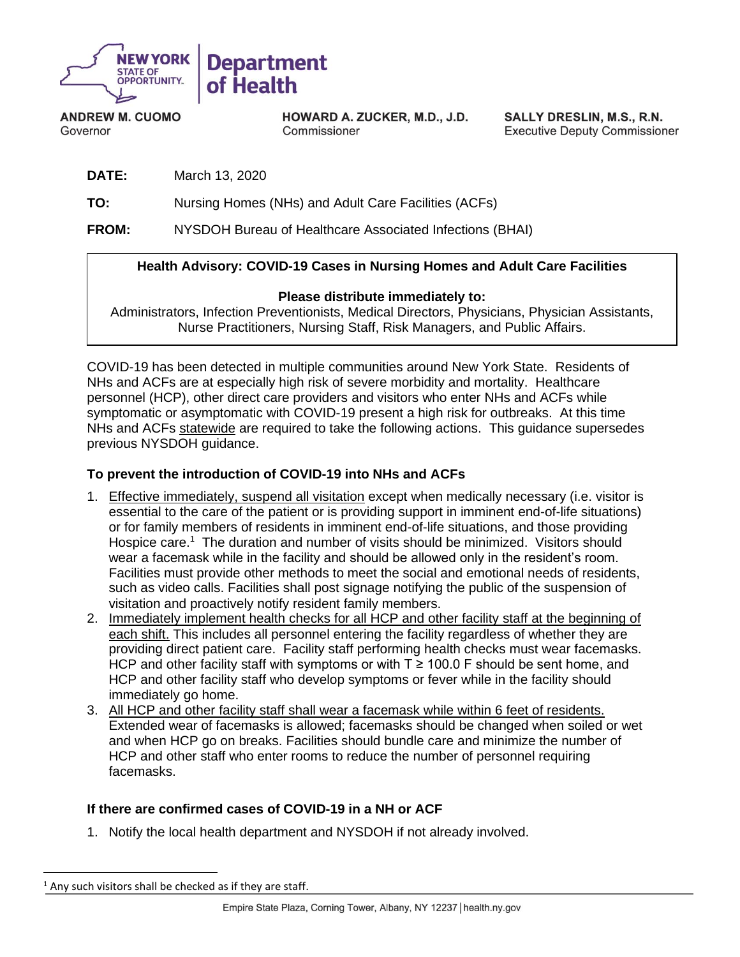

**ANDREW M. CUOMO** Governor

HOWARD A. ZUCKER, M.D., J.D. Commissioner

SALLY DRESLIN, M.S., R.N. **Executive Deputy Commissioner** 

**DATE:** March 13, 2020

**TO:** Nursing Homes (NHs) and Adult Care Facilities (ACFs)

**FROM:** NYSDOH Bureau of Healthcare Associated Infections (BHAI)

# **Health Advisory: COVID-19 Cases in Nursing Homes and Adult Care Facilities**

#### **Please distribute immediately to:**

Administrators, Infection Preventionists, Medical Directors, Physicians, Physician Assistants, Nurse Practitioners, Nursing Staff, Risk Managers, and Public Affairs.

COVID-19 has been detected in multiple communities around New York State. Residents of NHs and ACFs are at especially high risk of severe morbidity and mortality. Healthcare personnel (HCP), other direct care providers and visitors who enter NHs and ACFs while symptomatic or asymptomatic with COVID-19 present a high risk for outbreaks. At this time NHs and ACFs statewide are required to take the following actions. This guidance supersedes previous NYSDOH guidance.

## **To prevent the introduction of COVID-19 into NHs and ACFs**

- 1. Effective immediately, suspend all visitation except when medically necessary (i.e. visitor is essential to the care of the patient or is providing support in imminent end-of-life situations) or for family members of residents in imminent end-of-life situations, and those providing Hospice care.<sup>1</sup> The duration and number of visits should be minimized. Visitors should wear a facemask while in the facility and should be allowed only in the resident's room. Facilities must provide other methods to meet the social and emotional needs of residents, such as video calls. Facilities shall post signage notifying the public of the suspension of visitation and proactively notify resident family members.
- 2. Immediately implement health checks for all HCP and other facility staff at the beginning of each shift. This includes all personnel entering the facility regardless of whether they are providing direct patient care. Facility staff performing health checks must wear facemasks. HCP and other facility staff with symptoms or with  $T \ge 100.0$  F should be sent home, and HCP and other facility staff who develop symptoms or fever while in the facility should immediately go home.
- 3. All HCP and other facility staff shall wear a facemask while within 6 feet of residents. Extended wear of facemasks is allowed; facemasks should be changed when soiled or wet and when HCP go on breaks. Facilities should bundle care and minimize the number of HCP and other staff who enter rooms to reduce the number of personnel requiring facemasks.

### **If there are confirmed cases of COVID-19 in a NH or ACF**

1. Notify the local health department and NYSDOH if not already involved.

 $<sup>1</sup>$  Any such visitors shall be checked as if they are staff.</sup>